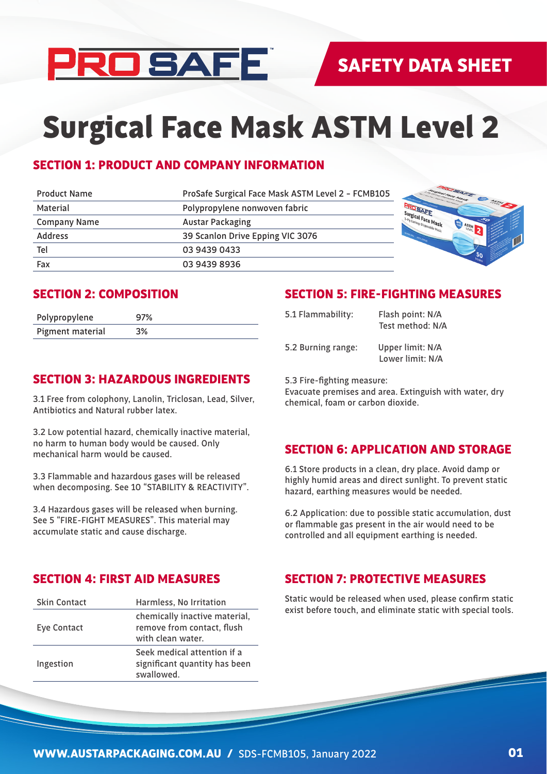

# Surgical Face Mask ASTM Level 2

# SECTION 1: PRODUCT AND COMPANY INFORMATION

| <b>Product Name</b> | ProSafe Surgical Face Mask ASTM Level 2 - FCMB105 | <b>CALL CARL CO</b>               |
|---------------------|---------------------------------------------------|-----------------------------------|
| Material            | Polypropylene nonwoven fabric                     |                                   |
| <b>Company Name</b> | <b>Austar Packaging</b>                           | Surgical Face Mask<br><b>ASTM</b> |
| <b>Address</b>      | 39 Scanlon Drive Epping VIC 3076                  | MASTERS AND THRO                  |
| Tel                 | 03 9439 0433                                      |                                   |
| Fax                 | 03 9439 8936                                      |                                   |

## SECTION 2: COMPOSITION

| Polypropylene    | 97% |
|------------------|-----|
| Pigment material | 3%  |

#### SECTION 5: FIRE-FIGHTING MEASURES

| 5.1 Flammability:  | Flash point: N/A<br>Test method: N/A |
|--------------------|--------------------------------------|
| 5.2 Burning range: | Upper limit: N/A<br>Lower limit: N/A |

## SECTION 3: HAZARDOUS INGREDIENTS

3.1 Free from colophony, Lanolin, Triclosan, Lead, Silver, Antibiotics and Natural rubber latex.

3.2 Low potential hazard, chemically inactive material, no harm to human body would be caused. Only mechanical harm would be caused.

3.3 Flammable and hazardous gases will be released when decomposing. See 10 "STABILITY & REACTIVITY".

3.4 Hazardous gases will be released when burning. See 5 "FIRE-FIGHT MEASURES". This material may accumulate static and cause discharge.

#### SECTION 4: FIRST AID MEASURES

| <b>Skin Contact</b> | Harmless, No Irritation                                                          |
|---------------------|----------------------------------------------------------------------------------|
| Eye Contact         | chemically inactive material,<br>remove from contact, flush<br>with clean water. |
| Ingestion           | Seek medical attention if a<br>significant quantity has been<br>swallowed.       |

#### 5.3 Fire-fighting measure:

Evacuate premises and area. Extinguish with water, dry chemical, foam or carbon dioxide.

## SECTION 6: APPLICATION AND STORAGE

6.1 Store products in a clean, dry place. Avoid damp or highly humid areas and direct sunlight. To prevent static hazard, earthing measures would be needed.

6.2 Application: due to possible static accumulation, dust or flammable gas present in the air would need to be controlled and all equipment earthing is needed.

## SECTION 7: PROTECTIVE MEASURES

Static would be released when used, please confirm static exist before touch, and eliminate static with special tools.